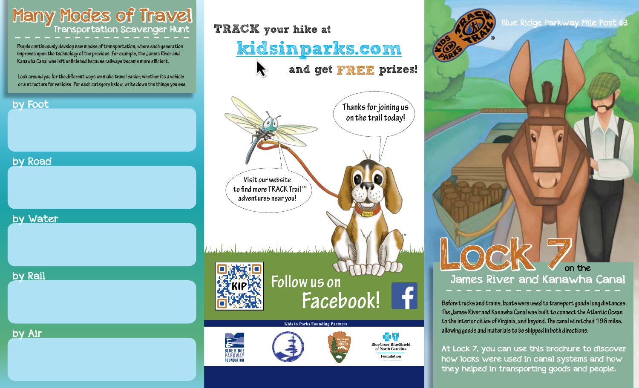

**People continuously develop new modes of transportation, where each generation improves upon the technology of the previous. For example, the James River and Kanawha Canal was left unfinished because railways became more efficient.**

 **Look around you for the different ways we make travel easier, whether its a vehicle or a structure for vehicles. For each category below, write down the things you see.**

#### by Foot

#### by Road

by Water

by Rail

by Air



Foundation

PARKWA

**FOUNDATION** 

®

LOCK 7 James River and Kanawha Canal on the

**Before trucks and trains, boats were used to transport goods long distances. The James River and Kanawha Canal was built to connect the Atlantic Ocean to the interior cities of Virginia, and beyond. The canal stretched 196 miles, allowing goods and materials to be shipped in both directions.** 

At Lock 7, you can use this brochure to discover how locks were used in canal systems and how they helped in transporting goods and people.